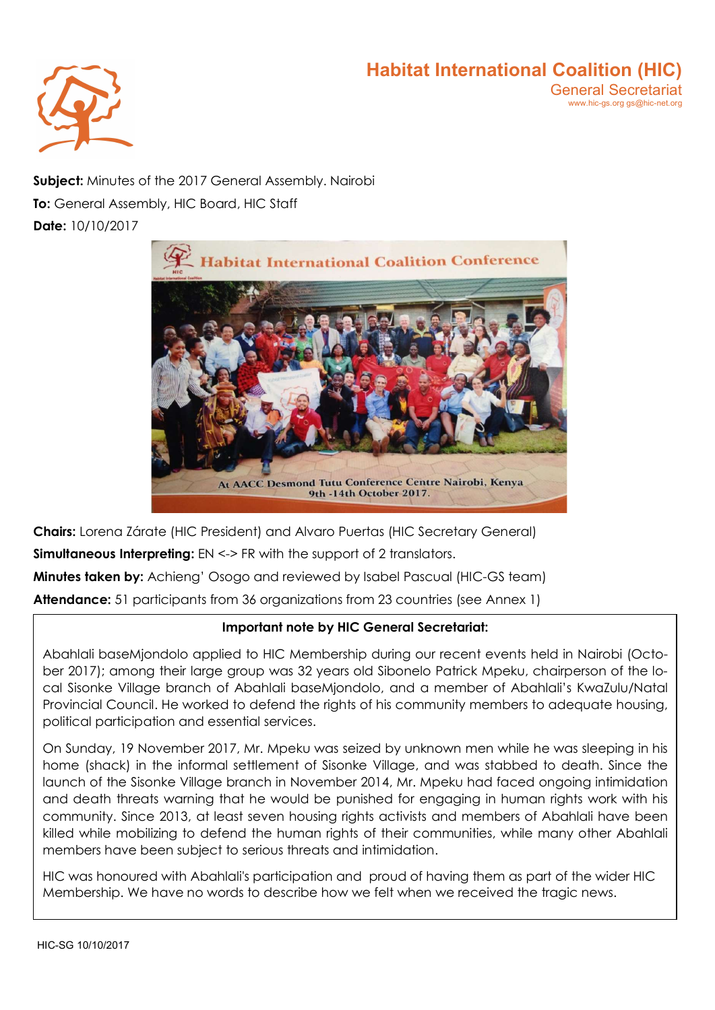

Subject: Minutes of the 2017 General Assembly. Nairobi To: General Assembly, HIC Board, HIC Staff Date: 10/10/2017



Chairs: Lorena Zárate (HIC President) and Alvaro Puertas (HIC Secretary General)

**Simultaneous Interpreting:** EN <-> FR with the support of 2 translators.

Minutes taken by: Achieng' Osogo and reviewed by Isabel Pascual (HIC-GS team)

Attendance: 51 participants from 36 organizations from 23 countries (see Annex 1)

#### Important note by HIC General Secretariat:

Abahlali baseMjondolo applied to HIC Membership during our recent events held in Nairobi (October 2017); among their large group was 32 years old Sibonelo Patrick Mpeku, chairperson of the local Sisonke Village branch of Abahlali baseMjondolo, and a member of Abahlali's KwaZulu/Natal Provincial Council. He worked to defend the rights of his community members to adequate housing, political participation and essential services.

On Sunday, 19 November 2017, Mr. Mpeku was seized by unknown men while he was sleeping in his home (shack) in the informal settlement of Sisonke Village, and was stabbed to death. Since the launch of the Sisonke Village branch in November 2014, Mr. Mpeku had faced ongoing intimidation and death threats warning that he would be punished for engaging in human rights work with his community. Since 2013, at least seven housing rights activists and members of Abahlali have been killed while mobilizing to defend the human rights of their communities, while many other Abahlali members have been subject to serious threats and intimidation.

HIC was honoured with Abahlali's participation and proud of having them as part of the wider HIC Membership. We have no words to describe how we felt when we received the tragic news.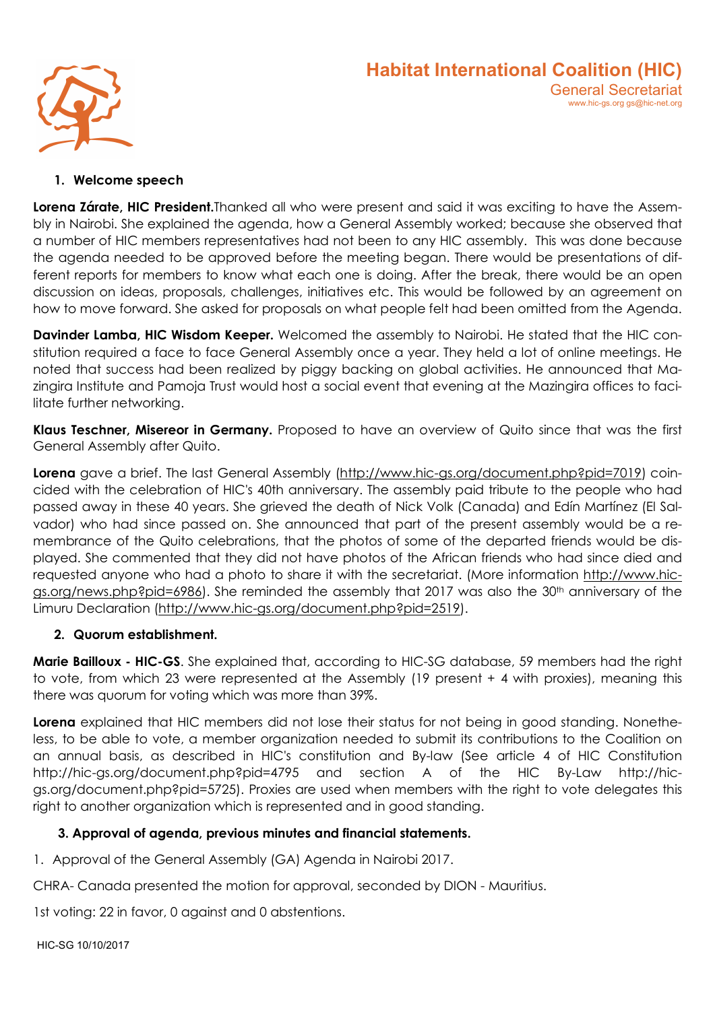



#### 1. Welcome speech

Lorena Zárate, HIC President.Thanked all who were present and said it was exciting to have the Assembly in Nairobi. She explained the agenda, how a General Assembly worked; because she observed that a number of HIC members representatives had not been to any HIC assembly. This was done because the agenda needed to be approved before the meeting began. There would be presentations of different reports for members to know what each one is doing. After the break, there would be an open discussion on ideas, proposals, challenges, initiatives etc. This would be followed by an agreement on how to move forward. She asked for proposals on what people felt had been omitted from the Agenda.

Davinder Lamba, HIC Wisdom Keeper. Welcomed the assembly to Nairobi. He stated that the HIC constitution required a face to face General Assembly once a year. They held a lot of online meetings. He noted that success had been realized by piggy backing on global activities. He announced that Mazingira Institute and Pamoja Trust would host a social event that evening at the Mazingira offices to facilitate further networking.

Klaus Teschner, Misereor in Germany. Proposed to have an overview of Quito since that was the first General Assembly after Quito.

Lorena gave a brief. The last General Assembly (http://www.hic-gs.org/document.php?pid=7019) coincided with the celebration of HIC's 40th anniversary. The assembly paid tribute to the people who had passed away in these 40 years. She grieved the death of Nick Volk (Canada) and Edín Martínez (El Salvador) who had since passed on. She announced that part of the present assembly would be a remembrance of the Quito celebrations, that the photos of some of the departed friends would be displayed. She commented that they did not have photos of the African friends who had since died and requested anyone who had a photo to share it with the secretariat. (More information http://www.hicgs.org/news.php?pid=6986). She reminded the assembly that 2017 was also the 30<sup>th</sup> anniversary of the Limuru Declaration (http://www.hic-gs.org/document.php?pid=2519).

#### 2. Quorum establishment.

Marie Bailloux - HIC-GS. She explained that, according to HIC-SG database, 59 members had the right to vote, from which 23 were represented at the Assembly (19 present + 4 with proxies), meaning this there was quorum for voting which was more than 39%.

Lorena explained that HIC members did not lose their status for not being in good standing. Nonetheless, to be able to vote, a member organization needed to submit its contributions to the Coalition on an annual basis, as described in HIC's constitution and By-law (See article 4 of HIC Constitution http://hic-gs.org/document.php?pid=4795 and section A of the HIC By-Law http://hicgs.org/document.php?pid=5725). Proxies are used when members with the right to vote delegates this right to another organization which is represented and in good standing.

#### 3. Approval of agenda, previous minutes and financial statements.

1. Approval of the General Assembly (GA) Agenda in Nairobi 2017.

CHRA- Canada presented the motion for approval, seconded by DION - Mauritius.

1st voting: 22 in favor, 0 against and 0 abstentions.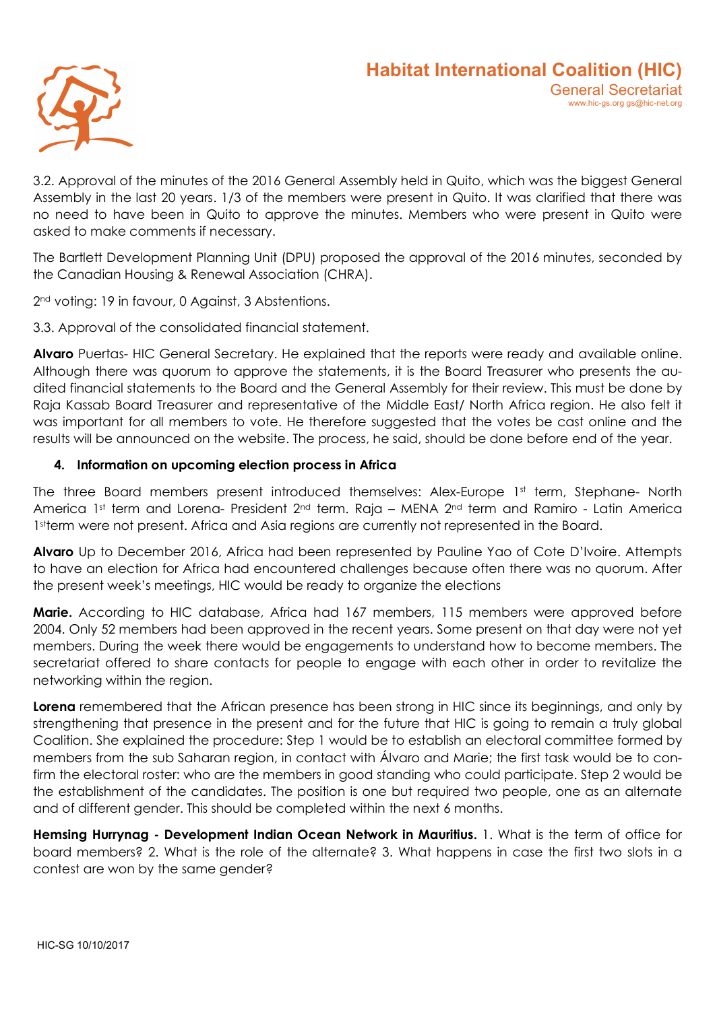

3.2. Approval of the minutes of the 2016 General Assembly held in Quito, which was the biggest General Assembly in the last 20 years. 1/3 of the members were present in Quito. It was clarified that there was no need to have been in Quito to approve the minutes. Members who were present in Quito were asked to make comments if necessary.

The Bartlett Development Planning Unit (DPU) proposed the approval of the 2016 minutes, seconded by the Canadian Housing & Renewal Association (CHRA).

2<sup>nd</sup> voting: 19 in favour, 0 Against, 3 Abstentions.

3.3. Approval of the consolidated financial statement.

Alvaro Puertas- HIC General Secretary. He explained that the reports were ready and available online. Although there was quorum to approve the statements, it is the Board Treasurer who presents the audited financial statements to the Board and the General Assembly for their review. This must be done by Raja Kassab Board Treasurer and representative of the Middle East/ North Africa region. He also felt it was important for all members to vote. He therefore suggested that the votes be cast online and the results will be announced on the website. The process, he said, should be done before end of the year.

# 4. Information on upcoming election process in Africa

The three Board members present introduced themselves: Alex-Europe 1st term, Stephane- North America 1st term and Lorena- President 2<sup>nd</sup> term. Raja – MENA 2<sup>nd</sup> term and Ramiro - Latin America 1sterm were not present. Africa and Asia regions are currently not represented in the Board.

Alvaro Up to December 2016, Africa had been represented by Pauline Yao of Cote D'Ivoire. Attempts to have an election for Africa had encountered challenges because often there was no quorum. After the present week's meetings, HIC would be ready to organize the elections

Marie. According to HIC database, Africa had 167 members, 115 members were approved before 2004. Only 52 members had been approved in the recent years. Some present on that day were not yet members. During the week there would be engagements to understand how to become members. The secretariat offered to share contacts for people to engage with each other in order to revitalize the networking within the region.

Lorena remembered that the African presence has been strong in HIC since its beginnings, and only by strengthening that presence in the present and for the future that HIC is going to remain a truly global Coalition. She explained the procedure: Step 1 would be to establish an electoral committee formed by members from the sub Saharan region, in contact with Álvaro and Marie; the first task would be to confirm the electoral roster: who are the members in good standing who could participate. Step 2 would be the establishment of the candidates. The position is one but required two people, one as an alternate and of different gender. This should be completed within the next 6 months.

Hemsing Hurryngg - Development Indian Ocean Network in Mauritius. 1. What is the term of office for board members? 2. What is the role of the alternate? 3. What happens in case the first two slots in a contest are won by the same gender?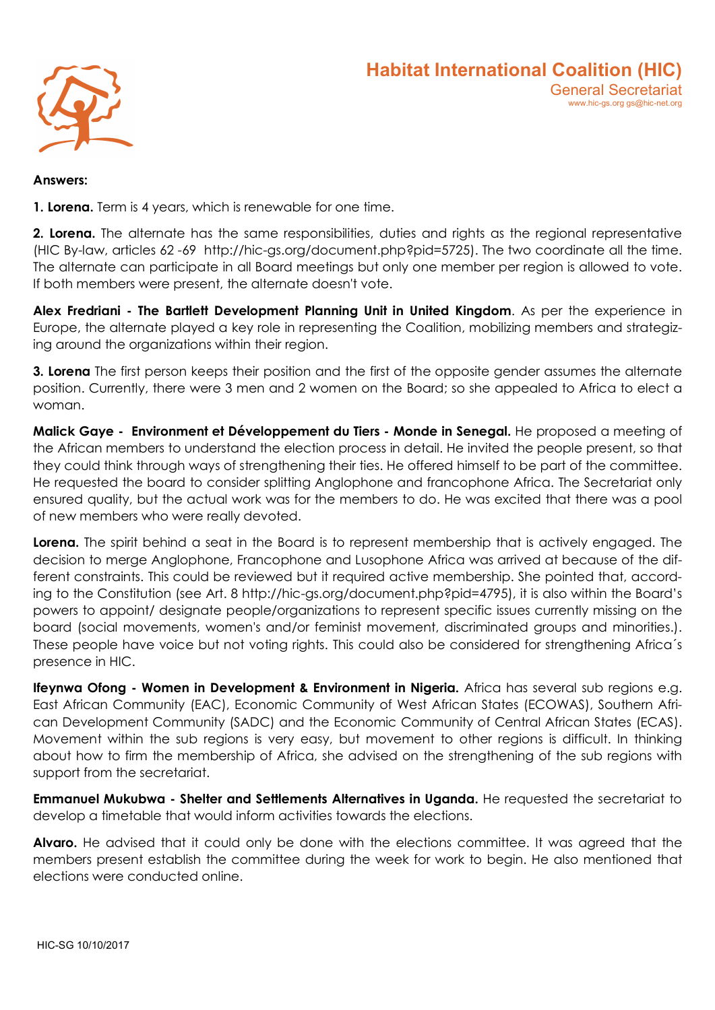

#### Answers:

1. Lorena. Term is 4 years, which is renewable for one time.

2. Lorena. The alternate has the same responsibilities, duties and rights as the regional representative (HIC By-law, articles 62 -69 http://hic-gs.org/document.php?pid=5725). The two coordinate all the time. The alternate can participate in all Board meetings but only one member per region is allowed to vote. If both members were present, the alternate doesn't vote.

Alex Fredriani - The Bartlett Development Planning Unit in United Kingdom. As per the experience in Europe, the alternate played a key role in representing the Coalition, mobilizing members and strategizing around the organizations within their region.

3. Lorena The first person keeps their position and the first of the opposite gender assumes the alternate position. Currently, there were 3 men and 2 women on the Board; so she appealed to Africa to elect a woman.

Malick Gaye - Environment et Développement du Tiers - Monde in Senegal. He proposed a meeting of the African members to understand the election process in detail. He invited the people present, so that they could think through ways of strengthening their ties. He offered himself to be part of the committee. He requested the board to consider splitting Anglophone and francophone Africa. The Secretariat only ensured quality, but the actual work was for the members to do. He was excited that there was a pool of new members who were really devoted.

Lorena. The spirit behind a seat in the Board is to represent membership that is actively engaged. The decision to merge Anglophone, Francophone and Lusophone Africa was arrived at because of the different constraints. This could be reviewed but it required active membership. She pointed that, according to the Constitution (see Art. 8 http://hic-gs.org/document.php?pid=4795), it is also within the Board's powers to appoint/ designate people/organizations to represent specific issues currently missing on the board (social movements, women's and/or feminist movement, discriminated groups and minorities.). These people have voice but not voting rights. This could also be considered for strengthening Africa´s presence in HIC.

Ifeynwa Ofong - Women in Development & Environment in Nigeria. Africa has several sub regions e.g. East African Community (EAC), Economic Community of West African States (ECOWAS), Southern African Development Community (SADC) and the Economic Community of Central African States (ECAS). Movement within the sub regions is very easy, but movement to other regions is difficult. In thinking about how to firm the membership of Africa, she advised on the strengthening of the sub regions with support from the secretariat.

Emmanuel Mukubwa - Shelter and Settlements Alternatives in Uganda. He requested the secretariat to develop a timetable that would inform activities towards the elections.

**Alvaro.** He advised that it could only be done with the elections committee. It was agreed that the members present establish the committee during the week for work to begin. He also mentioned that elections were conducted online.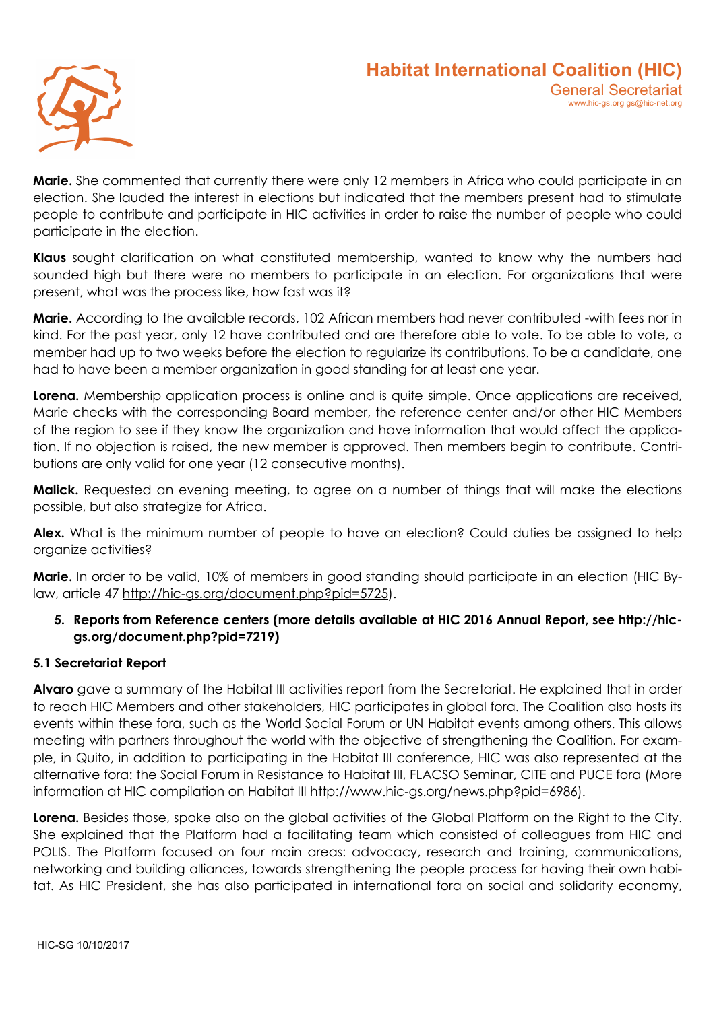

**Marie.** She commented that currently there were only 12 members in Africa who could participate in an election. She lauded the interest in elections but indicated that the members present had to stimulate people to contribute and participate in HIC activities in order to raise the number of people who could participate in the election.

Klaus sought clarification on what constituted membership, wanted to know why the numbers had sounded high but there were no members to participate in an election. For organizations that were present, what was the process like, how fast was it?

Marie. According to the available records, 102 African members had never contributed -with fees nor in kind. For the past year, only 12 have contributed and are therefore able to vote. To be able to vote, a member had up to two weeks before the election to regularize its contributions. To be a candidate, one had to have been a member organization in good standing for at least one year.

Lorena. Membership application process is online and is quite simple. Once applications are received, Marie checks with the corresponding Board member, the reference center and/or other HIC Members of the region to see if they know the organization and have information that would affect the application. If no objection is raised, the new member is approved. Then members begin to contribute. Contributions are only valid for one year (12 consecutive months).

**Malick.** Requested an evening meeting, to agree on a number of things that will make the elections possible, but also strategize for Africa.

Alex. What is the minimum number of people to have an election? Could duties be assigned to help organize activities?

Marie. In order to be valid, 10% of members in good standing should participate in an election (HIC Bylaw, article 47 http://hic-gs.org/document.php?pid=5725).

# 5. Reports from Reference centers (more details available at HIC 2016 Annual Report, see http://hicgs.org/document.php?pid=7219)

#### 5.1 Secretariat Report

Alvaro gave a summary of the Habitat III activities report from the Secretariat. He explained that in order to reach HIC Members and other stakeholders, HIC participates in global fora. The Coalition also hosts its events within these fora, such as the World Social Forum or UN Habitat events among others. This allows meeting with partners throughout the world with the objective of strengthening the Coalition. For example, in Quito, in addition to participating in the Habitat III conference, HIC was also represented at the alternative fora: the Social Forum in Resistance to Habitat III, FLACSO Seminar, CITE and PUCE fora (More information at HIC compilation on Habitat III http://www.hic-gs.org/news.php?pid=6986).

Lorena. Besides those, spoke also on the global activities of the Global Platform on the Right to the City. She explained that the Platform had a facilitating team which consisted of colleagues from HIC and POLIS. The Platform focused on four main areas: advocacy, research and training, communications, networking and building alliances, towards strengthening the people process for having their own habitat. As HIC President, she has also participated in international fora on social and solidarity economy,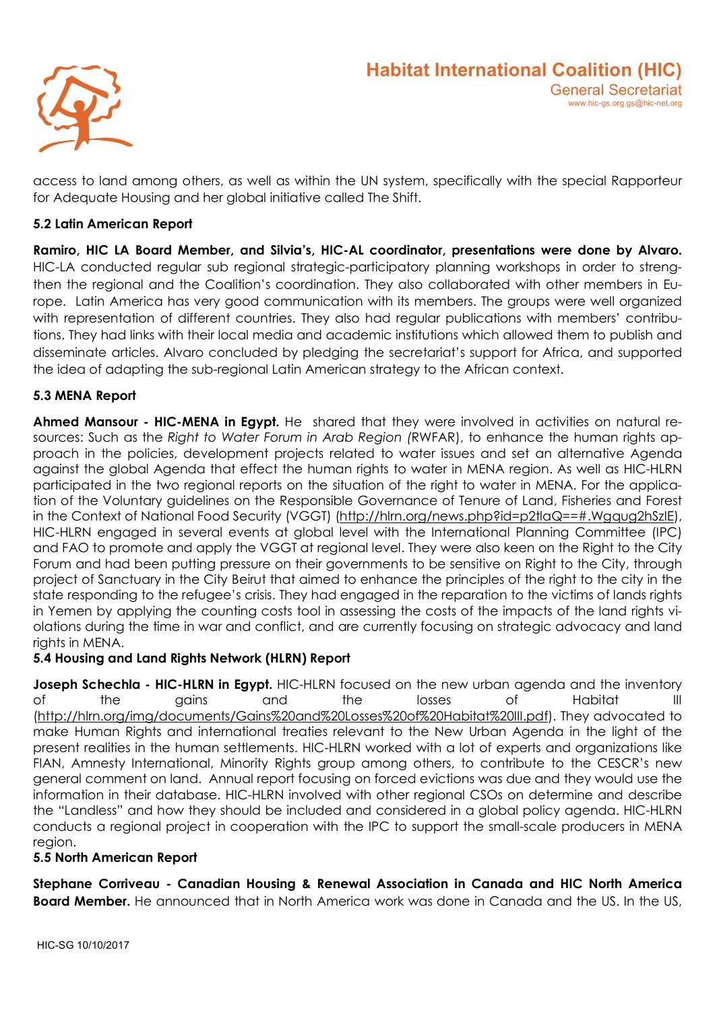

access to land among others, as well as within the UN system, specifically with the special Rapporteur for Adequate Housing and her global initiative called The Shift.

# 5.2 Latin American Report

Ramiro, HIC LA Board Member, and Silvia's, HIC-AL coordinator, presentations were done by Alvaro. HIC-LA conducted regular sub regional strategic-participatory planning workshops in order to strengthen the regional and the Coalition's coordination. They also collaborated with other members in Europe. Latin America has very good communication with its members. The groups were well organized with representation of different countries. They also had regular publications with members' contributions. They had links with their local media and academic institutions which allowed them to publish and disseminate articles. Alvaro concluded by pledging the secretariat's support for Africa, and supported the idea of adapting the sub-regional Latin American strategy to the African context.

# 5.3 MENA Report

Ahmed Mansour - HIC-MENA in Egypt. He shared that they were involved in activities on natural resources: Such as the Right to Water Forum in Arab Region (RWFAR), to enhance the human rights approach in the policies, development projects related to water issues and set an alternative Agenda against the global Agenda that effect the human rights to water in MENA region. As well as HIC-HLRN participated in the two regional reports on the situation of the right to water in MENA. For the application of the Voluntary guidelines on the Responsible Governance of Tenure of Land, Fisheries and Forest in the Context of National Food Security (VGGT) (http://hlrn.org/news.php?id=p2tlaQ==#.Wgqug2hSzIE), HIC-HLRN engaged in several events at global level with the International Planning Committee (IPC) and FAO to promote and apply the VGGT at regional level. They were also keen on the Right to the City Forum and had been putting pressure on their governments to be sensitive on Right to the City, through project of Sanctuary in the City Beirut that aimed to enhance the principles of the right to the city in the state responding to the refugee's crisis. They had engaged in the reparation to the victims of lands rights in Yemen by applying the counting costs tool in assessing the costs of the impacts of the land rights violations during the time in war and conflict, and are currently focusing on strategic advocacy and land rights in MFNA.

#### 5.4 Housing and Land Rights Network (HLRN) Report

Joseph Schechla - HIC-HLRN in Egypt. HIC-HLRN focused on the new urban agenda and the inventory of the gains and the losses of Habitat III (http://hlrn.org/img/documents/Gains%20and%20Losses%20of%20Habitat%20III.pdf). They advocated to make Human Rights and international treaties relevant to the New Urban Agenda in the light of the present realities in the human settlements. HIC-HLRN worked with a lot of experts and organizations like FIAN, Amnesty International, Minority Rights group among others, to contribute to the CESCR's new general comment on land. Annual report focusing on forced evictions was due and they would use the information in their database. HIC-HLRN involved with other regional CSOs on determine and describe the "Landless" and how they should be included and considered in a global policy agenda. HIC-HLRN conducts a regional project in cooperation with the IPC to support the small-scale producers in MENA region.

#### 5.5 North American Report

Stephane Corriveau - Canadian Housing & Renewal Association in Canada and HIC North America **Board Member.** He announced that in North America work was done in Canada and the US. In the US.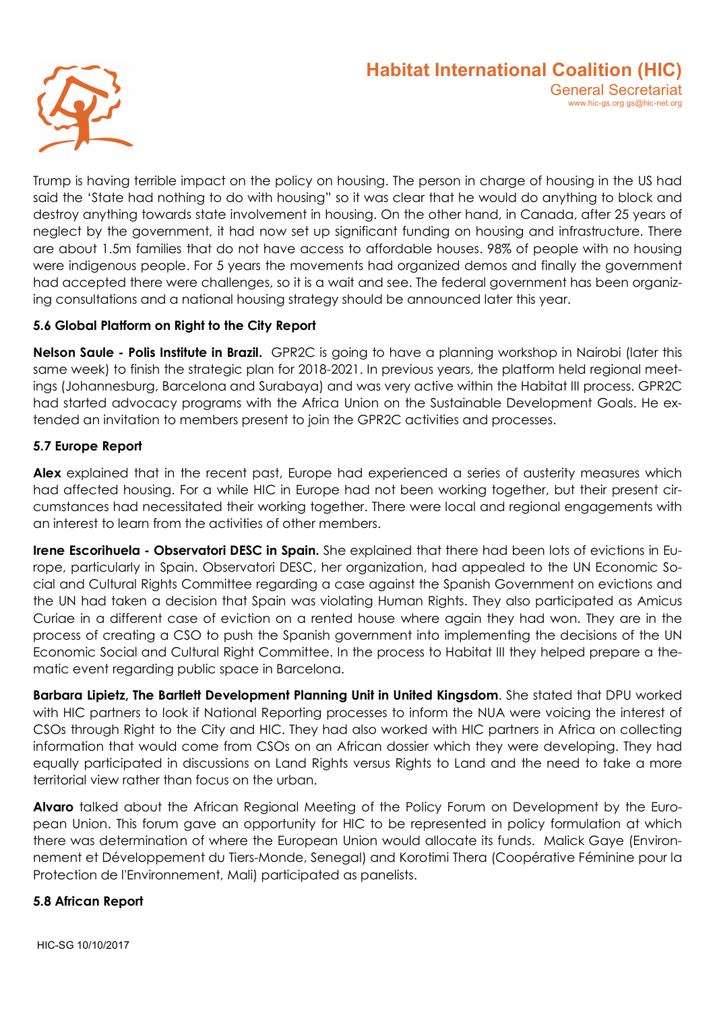

Trump is having terrible impact on the policy on housing. The person in charge of housing in the US had said the 'State had nothing to do with housing" so it was clear that he would do anything to block and destroy anything towards state involvement in housing. On the other hand, in Canada, after 25 years of neglect by the government, it had now set up significant funding on housing and infrastructure. There are about 1.5m families that do not have access to affordable houses. 98% of people with no housing were indigenous people. For 5 years the movements had organized demos and finally the government had accepted there were challenges, so it is a wait and see. The federal government has been organizing consultations and a national housing strategy should be announced later this year.

# 5.6 Global Platform on Right to the City Report

Nelson Saule - Polis Institute in Brazil. GPR2C is going to have a planning workshop in Nairobi (later this same week) to finish the strategic plan for 2018-2021. In previous years, the platform held regional meetings (Johannesburg, Barcelona and Surabaya) and was very active within the Habitat III process. GPR2C had started advocacy programs with the Africa Union on the Sustainable Development Goals. He extended an invitation to members present to join the GPR2C activities and processes.

#### 5.7 Europe Report

Alex explained that in the recent past, Europe had experienced a series of austerity measures which had affected housing. For a while HIC in Europe had not been working together, but their present circumstances had necessitated their working together. There were local and regional engagements with an interest to learn from the activities of other members.

Irene Escorihuela - Observatori DESC in Spain. She explained that there had been lots of evictions in Europe, particularly in Spain. Observatori DESC, her organization, had appealed to the UN Economic Social and Cultural Rights Committee regarding a case against the Spanish Government on evictions and the UN had taken a decision that Spain was violating Human Rights. They also participated as Amicus Curiae in a different case of eviction on a rented house where again they had won. They are in the process of creating a CSO to push the Spanish government into implementing the decisions of the UN Economic Social and Cultural Right Committee. In the process to Habitat III they helped prepare a thematic event regarding public space in Barcelona.

Barbara Lipietz, The Bartlett Development Planning Unit in United Kingsdom. She stated that DPU worked with HIC partners to look if National Reporting processes to inform the NUA were voicing the interest of CSOs through Right to the City and HIC. They had also worked with HIC partners in Africa on collecting information that would come from CSOs on an African dossier which they were developing. They had equally participated in discussions on Land Rights versus Rights to Land and the need to take a more territorial view rather than focus on the urban.

Alvaro talked about the African Regional Meeting of the Policy Forum on Development by the European Union. This forum gave an opportunity for HIC to be represented in policy formulation at which there was determination of where the European Union would allocate its funds. Malick Gaye (Environnement et Développement du Tiers-Monde, Senegal) and Korotimi Thera (Coopérative Féminine pour la Protection de l'Environnement, Mali) participated as panelists.

#### 5.8 African Report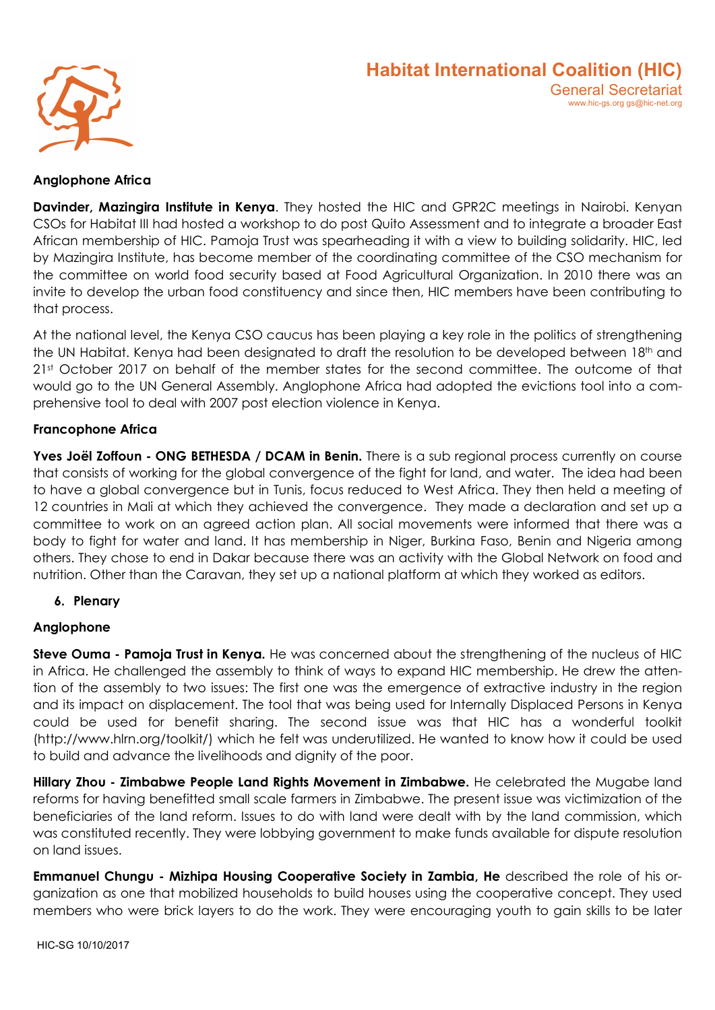

#### Anglophone Africa

**Davinder, Mazinaira Institute in Kenya.** They hosted the HIC and GPR2C meetinas in Nairobi. Kenyan CSOs for Habitat III had hosted a workshop to do post Quito Assessment and to integrate a broader East African membership of HIC. Pamoja Trust was spearheading it with a view to building solidarity. HIC, led by Mazingira Institute, has become member of the coordinating committee of the CSO mechanism for the committee on world food security based at Food Agricultural Organization. In 2010 there was an invite to develop the urban food constituency and since then, HIC members have been contributing to that process.

At the national level, the Kenya CSO caucus has been playing a key role in the politics of strengthening the UN Habitat. Kenya had been designated to draft the resolution to be developed between 18<sup>th</sup> and 21st October 2017 on behalf of the member states for the second committee. The outcome of that would go to the UN General Assembly. Anglophone Africa had adopted the evictions tool into a comprehensive tool to deal with 2007 post election violence in Kenya.

#### Francophone Africa

Yves Joël Zoffoun - ONG BETHESDA / DCAM in Benin. There is a sub regional process currently on course that consists of working for the global convergence of the fight for land, and water. The idea had been to have a global convergence but in Tunis, focus reduced to West Africa. They then held a meeting of 12 countries in Mali at which they achieved the convergence. They made a declaration and set up a committee to work on an agreed action plan. All social movements were informed that there was a body to fight for water and land. It has membership in Niger, Burkina Faso, Benin and Nigeria among others. They chose to end in Dakar because there was an activity with the Global Network on food and nutrition. Other than the Caravan, they set up a national platform at which they worked as editors.

#### 6. Plenary

#### Anglophone

Steve Ouma - Pamoja Trust in Kenya. He was concerned about the strengthening of the nucleus of HIC in Africa. He challenged the assembly to think of ways to expand HIC membership. He drew the attention of the assembly to two issues: The first one was the emergence of extractive industry in the region and its impact on displacement. The tool that was being used for Internally Displaced Persons in Kenya could be used for benefit sharing. The second issue was that HIC has a wonderful toolkit (http://www.hlrn.org/toolkit/) which he felt was underutilized. He wanted to know how it could be used to build and advance the livelihoods and dignity of the poor.

Hillary Zhou - Zimbabwe People Land Rights Movement in Zimbabwe. He celebrated the Mugabe land reforms for having benefitted small scale farmers in Zimbabwe. The present issue was victimization of the beneficiaries of the land reform. Issues to do with land were dealt with by the land commission, which was constituted recently. They were lobbying government to make funds available for dispute resolution on land issues.

Emmanuel Chungu - Mizhipa Housing Cooperative Society in Zambia, He described the role of his organization as one that mobilized households to build houses using the cooperative concept. They used members who were brick layers to do the work. They were encouraging youth to gain skills to be later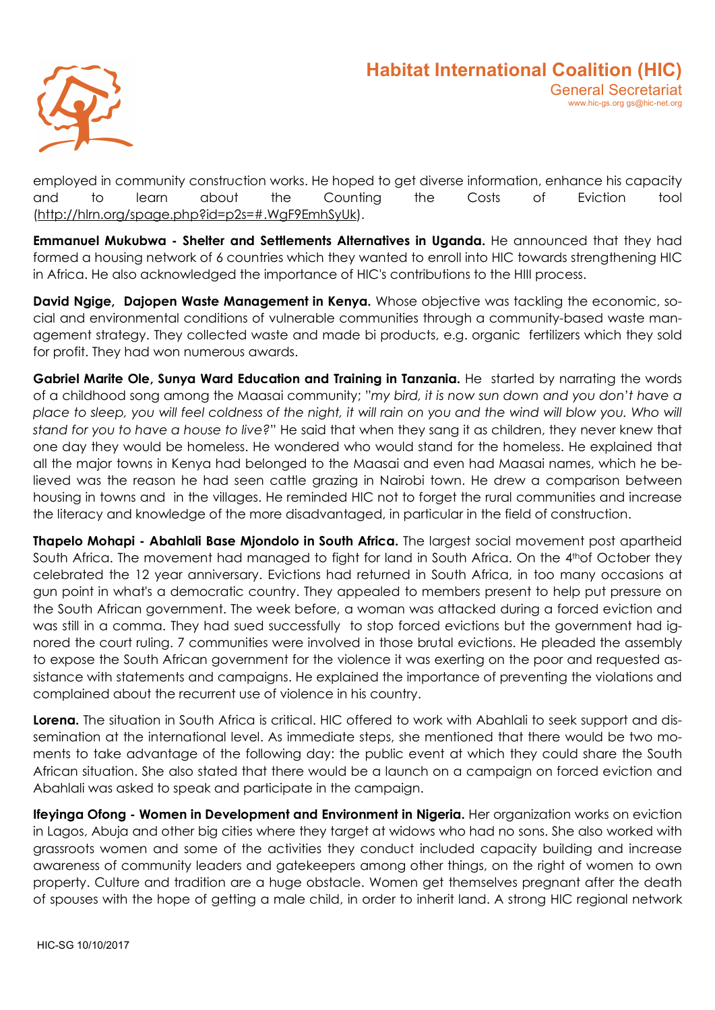

employed in community construction works. He hoped to get diverse information, enhance his capacity and to learn about the Counting the Costs of Eviction tool (http://hlrn.org/spage.php?id=p2s=#.WgF9EmhSyUk).

Emmanuel Mukubwa - Shelter and Settlements Alternatives in Uganda. He announced that they had formed a housing network of 6 countries which they wanted to enroll into HIC towards strengthening HIC in Africa. He also acknowledged the importance of HIC's contributions to the HIII process.

David Ngige, Dajopen Waste Management in Kenya. Whose objective was tackling the economic, social and environmental conditions of vulnerable communities through a community-based waste management strategy. They collected waste and made bi products, e.g. organic fertilizers which they sold for profit. They had won numerous awards.

Gabriel Marite Ole, Sunya Ward Education and Training in Tanzania. He started by narrating the words of a childhood song among the Maasai community; "my bird, it is now sun down and you don't have a place to sleep, you will feel coldness of the night, it will rain on you and the wind will blow you. Who will stand for you to have a house to live?" He said that when they sang it as children, they never knew that one day they would be homeless. He wondered who would stand for the homeless. He explained that all the major towns in Kenya had belonged to the Maasai and even had Maasai names, which he believed was the reason he had seen cattle grazing in Nairobi town. He drew a comparison between housing in towns and in the villages. He reminded HIC not to forget the rural communities and increase the literacy and knowledge of the more disadvantaged, in particular in the field of construction.

Thapelo Mohapi - Abahlali Base Mjondolo in South Africa. The largest social movement post apartheid South Africa. The movement had managed to fight for land in South Africa. On the 4<sup>th</sup>of October they celebrated the 12 year anniversary. Evictions had returned in South Africa, in too many occasions at gun point in what's a democratic country. They appealed to members present to help put pressure on the South African government. The week before, a woman was attacked during a forced eviction and was still in a comma. They had sued successfully to stop forced evictions but the government had ignored the court ruling. 7 communities were involved in those brutal evictions. He pleaded the assembly to expose the South African government for the violence it was exerting on the poor and requested assistance with statements and campaigns. He explained the importance of preventing the violations and complained about the recurrent use of violence in his country.

Lorena. The situation in South Africa is critical. HIC offered to work with Abahlali to seek support and dissemination at the international level. As immediate steps, she mentioned that there would be two moments to take advantage of the following day: the public event at which they could share the South African situation. She also stated that there would be a launch on a campaign on forced eviction and Abahlali was asked to speak and participate in the campaign.

Ifeyinga Ofong - Women in Development and Environment in Nigeria. Her organization works on eviction in Lagos, Abuja and other big cities where they target at widows who had no sons. She also worked with grassroots women and some of the activities they conduct included capacity building and increase awareness of community leaders and gatekeepers among other things, on the right of women to own property. Culture and tradition are a huge obstacle. Women get themselves pregnant after the death of spouses with the hope of getting a male child, in order to inherit land. A strong HIC regional network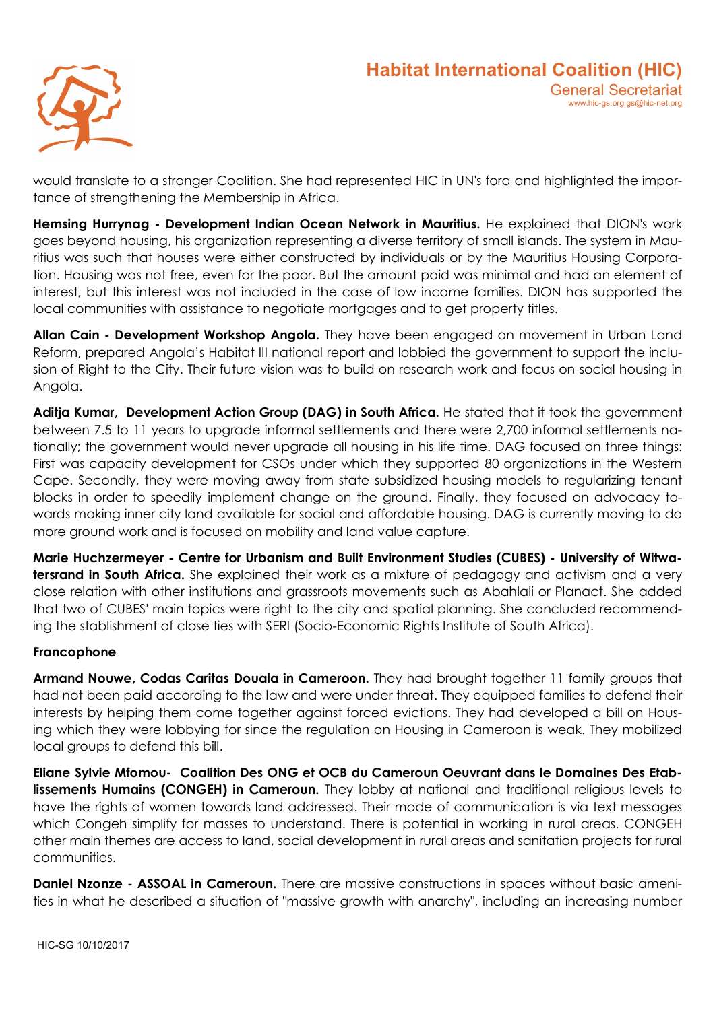

would translate to a stronger Coalition. She had represented HIC in UN's fora and highlighted the importance of strengthening the Membership in Africa.

Hemsing Hurrynag - Development Indian Ocean Network in Mauritius. He explained that DION's work goes beyond housing, his organization representing a diverse territory of small islands. The system in Mauritius was such that houses were either constructed by individuals or by the Mauritius Housing Corporation. Housing was not free, even for the poor. But the amount paid was minimal and had an element of interest, but this interest was not included in the case of low income families. DION has supported the local communities with assistance to negotiate mortgages and to get property titles.

Allan Cain - Development Workshop Angola. They have been engaged on movement in Urban Land Reform, prepared Angola's Habitat III national report and lobbied the government to support the inclusion of Right to the City. Their future vision was to build on research work and focus on social housing in Angola.

Aditja Kumar, Development Action Group (DAG) in South Africa. He stated that it took the government between 7.5 to 11 years to upgrade informal settlements and there were 2,700 informal settlements nationally; the government would never upgrade all housing in his life time. DAG focused on three things: First was capacity development for CSOs under which they supported 80 organizations in the Western Cape. Secondly, they were moving away from state subsidized housing models to regularizing tenant blocks in order to speedily implement change on the ground. Finally, they focused on advocacy towards making inner city land available for social and affordable housing. DAG is currently moving to do more ground work and is focused on mobility and land value capture.

Marie Huchzermeyer - Centre for Urbanism and Built Environment Studies (CUBES) - University of Witwatersrand in South Africa. She explained their work as a mixture of pedagogy and activism and a very close relation with other institutions and grassroots movements such as Abahlali or Planact. She added that two of CUBES' main topics were right to the city and spatial planning. She concluded recommending the stablishment of close ties with SERI (Socio-Economic Rights Institute of South Africa).

#### Francophone

Armand Nouwe, Codas Caritas Douala in Cameroon. They had brought together 11 family groups that had not been paid according to the law and were under threat. They equipped families to defend their interests by helping them come together against forced evictions. They had developed a bill on Housing which they were lobbying for since the regulation on Housing in Cameroon is weak. They mobilized local groups to defend this bill.

Eliane Sylvie Mfomou- Coalition Des ONG et OCB du Cameroun Oeuvrant dans le Domaines Des Etablissements Humains (CONGEH) in Cameroun. They lobby at national and traditional religious levels to have the rights of women towards land addressed. Their mode of communication is via text messages which Congeh simplify for masses to understand. There is potential in working in rural areas. CONGEH other main themes are access to land, social development in rural areas and sanitation projects for rural communities.

Daniel Nzonze - ASSOAL in Cameroun. There are massive constructions in spaces without basic amenities in what he described a situation of "massive growth with anarchy", including an increasing number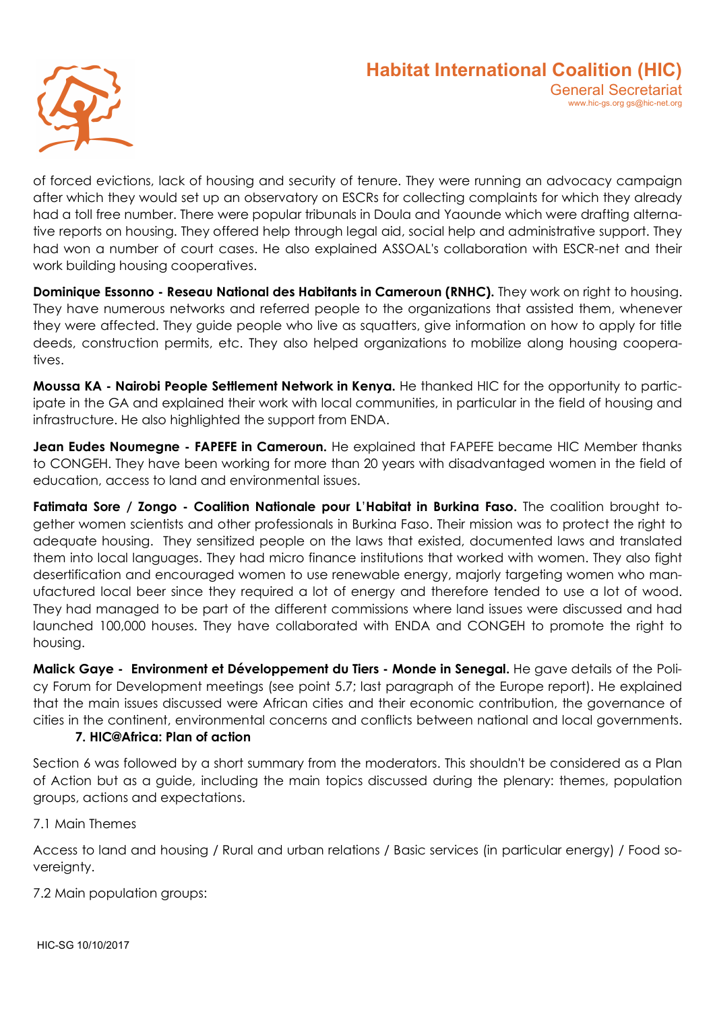

of forced evictions, lack of housing and security of tenure. They were running an advocacy campaign after which they would set up an observatory on ESCRs for collecting complaints for which they already had a toll free number. There were popular tribunals in Doula and Yaounde which were drafting alternative reports on housing. They offered help through legal aid, social help and administrative support. They had won a number of court cases. He also explained ASSOAL's collaboration with ESCR-net and their work building housing cooperatives.

Dominique Essonno - Reseau National des Habitants in Cameroun (RNHC). They work on right to housing. They have numerous networks and referred people to the organizations that assisted them, whenever they were affected. They guide people who live as squatters, give information on how to apply for title deeds, construction permits, etc. They also helped organizations to mobilize along housing cooperatives.

Moussa KA - Nairobi People Settlement Network in Kenya. He thanked HIC for the opportunity to participate in the GA and explained their work with local communities, in particular in the field of housing and infrastructure. He also highlighted the support from ENDA.

Jean Eudes Noumegne - FAPEFE in Cameroun. He explained that FAPEFE became HIC Member thanks to CONGEH. They have been working for more than 20 years with disadvantaged women in the field of education, access to land and environmental issues.

Fatimata Sore / Zongo - Coalition Nationale pour L'Habitat in Burkina Faso. The coalition brought together women scientists and other professionals in Burkina Faso. Their mission was to protect the right to adequate housing. They sensitized people on the laws that existed, documented laws and translated them into local languages. They had micro finance institutions that worked with women. They also fight desertification and encouraged women to use renewable energy, majorly targeting women who manufactured local beer since they required a lot of energy and therefore tended to use a lot of wood. They had managed to be part of the different commissions where land issues were discussed and had launched 100,000 houses. They have collaborated with ENDA and CONGEH to promote the right to housing.

Malick Gave - Environment et Développement du Tiers - Monde in Senegal. He gave details of the Policy Forum for Development meetings (see point 5.7; last paragraph of the Europe report). He explained that the main issues discussed were African cities and their economic contribution, the governance of cities in the continent, environmental concerns and conflicts between national and local governments.

#### 7. HIC@Africa: Plan of action

Section 6 was followed by a short summary from the moderators. This shouldn't be considered as a Plan of Action but as a guide, including the main topics discussed during the plenary: themes, population groups, actions and expectations.

7.1 Main Themes

Access to land and housing / Rural and urban relations / Basic services (in particular energy) / Food sovereignty.

7.2 Main population groups: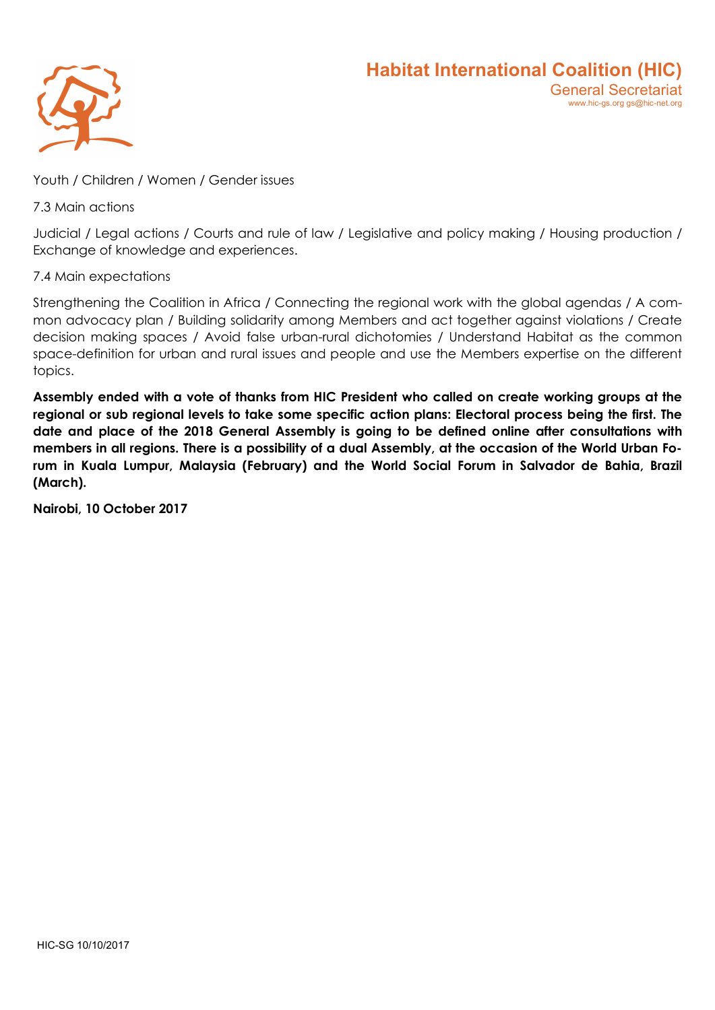

Youth / Children / Women / Gender issues

7.3 Main actions

Judicial / Legal actions / Courts and rule of law / Legislative and policy making / Housing production / Exchange of knowledge and experiences.

#### 7.4 Main expectations

Strengthening the Coalition in Africa / Connecting the regional work with the global agendas / A common advocacy plan / Building solidarity among Members and act together against violations / Create decision making spaces / Avoid false urban-rural dichotomies / Understand Habitat as the common space-definition for urban and rural issues and people and use the Members expertise on the different topics.

Assembly ended with a vote of thanks from HIC President who called on create working groups at the regional or sub regional levels to take some specific action plans: Electoral process being the first. The date and place of the 2018 General Assembly is going to be defined online after consultations with members in all regions. There is a possibility of a dual Assembly, at the occasion of the World Urban Forum in Kuala Lumpur, Malaysia (February) and the World Social Forum in Salvador de Bahia, Brazil (March).

Nairobi, 10 October 2017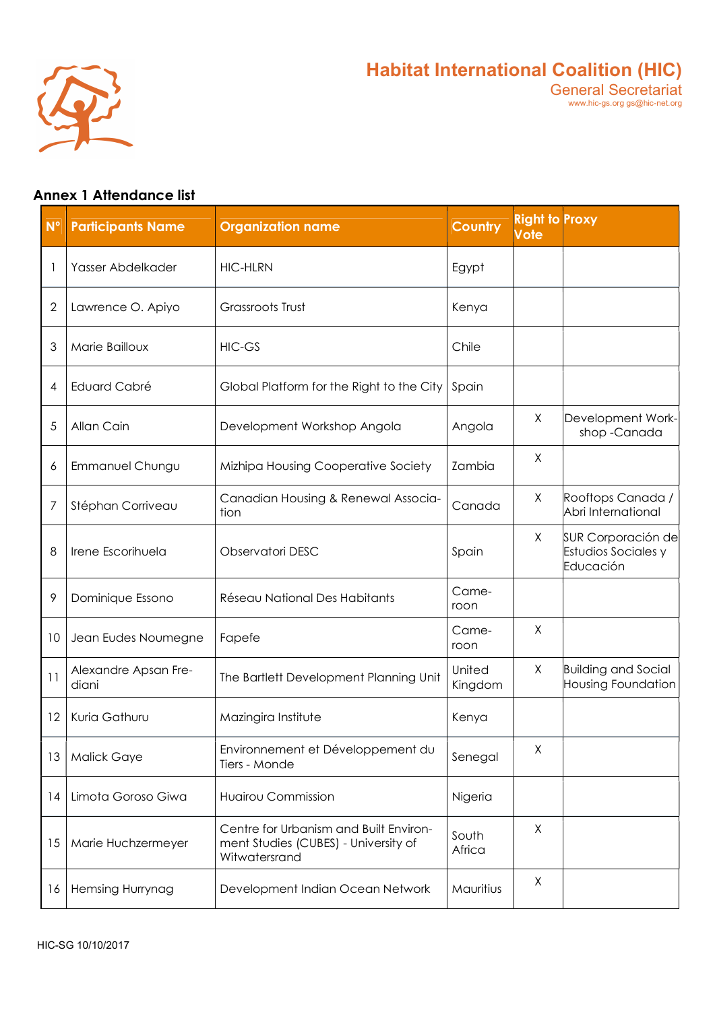

# Annex 1 Attendance list

| $N^{\circ}$ | <b>Participants Name</b>      | <b>Organization name</b>                                                                        | <b>Country</b>    | <b>Right to Proxy</b><br><b>Vote</b> |                                                        |
|-------------|-------------------------------|-------------------------------------------------------------------------------------------------|-------------------|--------------------------------------|--------------------------------------------------------|
| 1           | Yasser Abdelkader             | <b>HIC-HLRN</b>                                                                                 | Egypt             |                                      |                                                        |
| 2           | Lawrence O. Apiyo             | <b>Grassroots Trust</b>                                                                         | Kenya             |                                      |                                                        |
| 3           | Marie Bailloux                | <b>HIC-GS</b>                                                                                   | Chile             |                                      |                                                        |
| 4           | Eduard Cabré                  | Global Platform for the Right to the City                                                       | Spain             |                                      |                                                        |
| 5           | Allan Cain                    | Development Workshop Angola                                                                     | Angola            | X                                    | Development Work-<br>shop-Canada                       |
| 6           | Emmanuel Chungu               | Mizhipa Housing Cooperative Society                                                             | Zambia            | Χ                                    |                                                        |
| 7           | Stéphan Corriveau             | Canadian Housing & Renewal Associa-<br>tion                                                     | Canada            | X                                    | Rooftops Canada /<br>Abri International                |
| 8           | Irene Escorihuela             | Observatori DESC                                                                                | Spain             | X                                    | SUR Corporación de<br>Estudios Sociales y<br>Educación |
| 9           | Dominique Essono              | Réseau National Des Habitants                                                                   | Came-<br>roon     |                                      |                                                        |
| 10          | Jean Eudes Noumegne           | Fapefe                                                                                          | Came-<br>roon     | X                                    |                                                        |
| 11          | Alexandre Apsan Fre-<br>diani | The Bartlett Development Planning Unit                                                          | United<br>Kingdom | X                                    | <b>Building and Social</b><br>Housing Foundation       |
| 12          | Kuria Gathuru                 | Mazingira Institute                                                                             | Kenya             |                                      |                                                        |
| 13          | <b>Malick Gaye</b>            | Environnement et Développement du<br>Tiers - Monde                                              | Senegal           | X                                    |                                                        |
| 14          | Limota Goroso Giwa            | <b>Huairou Commission</b>                                                                       | Nigeria           |                                      |                                                        |
| 15          | Marie Huchzermeyer            | Centre for Urbanism and Built Environ-<br>ment Studies (CUBES) - University of<br>Witwatersrand | South<br>Africa   | X                                    |                                                        |
| 16          | <b>Hemsing Hurrynag</b>       | Development Indian Ocean Network                                                                | Mauritius         | X                                    |                                                        |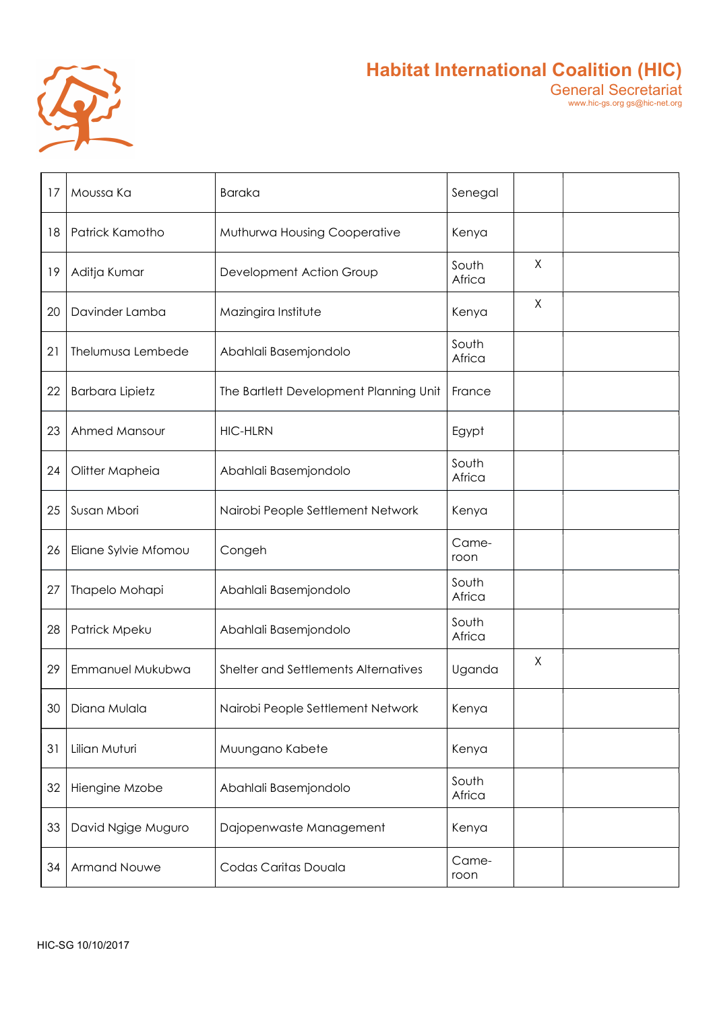

| 17 | Moussa Ka              | <b>Baraka</b>                          | Senegal         |   |  |
|----|------------------------|----------------------------------------|-----------------|---|--|
| 18 | Patrick Kamotho        | Muthurwa Housing Cooperative           | Kenya           |   |  |
| 19 | Aditja Kumar           | Development Action Group               | South<br>Africa | X |  |
| 20 | Davinder Lamba         | Mazingira Institute                    | Kenya           | X |  |
| 21 | Thelumusa Lembede      | Abahlali Basemjondolo                  | South<br>Africa |   |  |
| 22 | <b>Barbara Lipietz</b> | The Bartlett Development Planning Unit | France          |   |  |
| 23 | Ahmed Mansour          | <b>HIC-HLRN</b>                        | Egypt           |   |  |
| 24 | Olitter Mapheia        | Abahlali Basemjondolo                  | South<br>Africa |   |  |
| 25 | Susan Mbori            | Nairobi People Settlement Network      | Kenya           |   |  |
| 26 | Eliane Sylvie Mfomou   | Congeh                                 | Came-<br>roon   |   |  |
| 27 | Thapelo Mohapi         | Abahlali Basemjondolo                  | South<br>Africa |   |  |
| 28 | Patrick Mpeku          | Abahlali Basemjondolo                  | South<br>Africa |   |  |
| 29 | Emmanuel Mukubwa       | Shelter and Settlements Alternatives   | Uganda          | X |  |
|    | 30 Diana Mulala        | Nairobi People Settlement Network      | Kenya           |   |  |
| 31 | Lilian Muturi          | Muungano Kabete                        | Kenya           |   |  |
| 32 | Hiengine Mzobe         | Abahlali Basemjondolo                  | South<br>Africa |   |  |
| 33 | David Ngige Muguro     | Dajopenwaste Management                | Kenya           |   |  |
| 34 | Armand Nouwe           | Codas Caritas Douala                   | Came-<br>roon   |   |  |